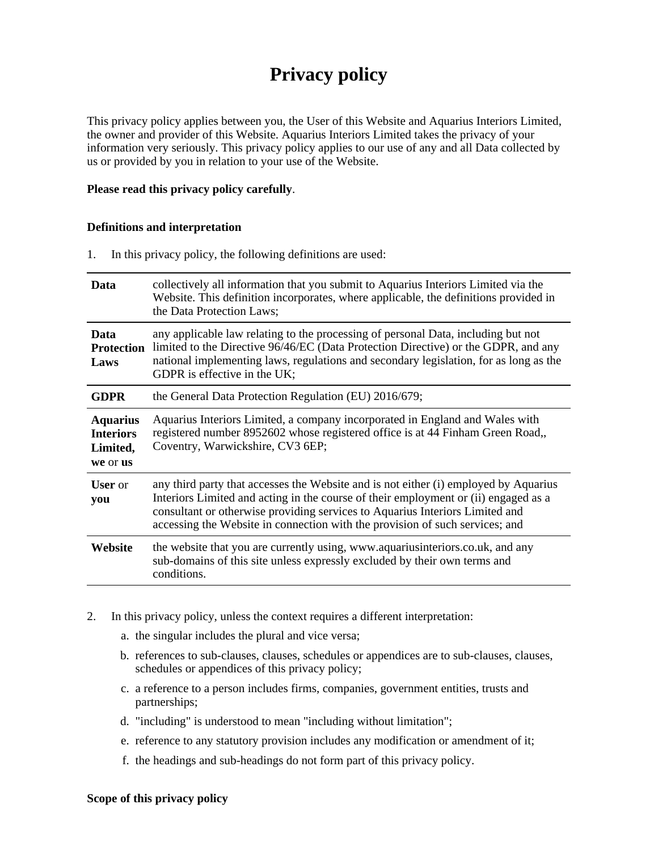# **Privacy policy**

This privacy policy applies between you, the User of this Website and Aquarius Interiors Limited, the owner and provider of this Website. Aquarius Interiors Limited takes the privacy of your information very seriously. This privacy policy applies to our use of any and all Data collected by us or provided by you in relation to your use of the Website.

#### **Please read this privacy policy carefully**.

#### **Definitions and interpretation**

1. In this privacy policy, the following definitions are used:

| Data                                                        | collectively all information that you submit to Aquarius Interiors Limited via the<br>Website. This definition incorporates, where applicable, the definitions provided in<br>the Data Protection Laws;                                                                                                                                     |
|-------------------------------------------------------------|---------------------------------------------------------------------------------------------------------------------------------------------------------------------------------------------------------------------------------------------------------------------------------------------------------------------------------------------|
| Data<br><b>Protection</b><br>Laws                           | any applicable law relating to the processing of personal Data, including but not<br>limited to the Directive 96/46/EC (Data Protection Directive) or the GDPR, and any<br>national implementing laws, regulations and secondary legislation, for as long as the<br>GDPR is effective in the UK;                                            |
| <b>GDPR</b>                                                 | the General Data Protection Regulation (EU) 2016/679;                                                                                                                                                                                                                                                                                       |
| <b>Aquarius</b><br><b>Interiors</b><br>Limited,<br>we or us | Aquarius Interiors Limited, a company incorporated in England and Wales with<br>registered number 8952602 whose registered office is at 44 Finham Green Road,,<br>Coventry, Warwickshire, CV3 6EP;                                                                                                                                          |
| <b>User</b> or<br>you                                       | any third party that accesses the Website and is not either (i) employed by Aquarius<br>Interiors Limited and acting in the course of their employment or (ii) engaged as a<br>consultant or otherwise providing services to Aquarius Interiors Limited and<br>accessing the Website in connection with the provision of such services; and |
| Website                                                     | the website that you are currently using, www.aquariusinteriors.co.uk, and any<br>sub-domains of this site unless expressly excluded by their own terms and<br>conditions.                                                                                                                                                                  |

- 2. In this privacy policy, unless the context requires a different interpretation:
	- a. the singular includes the plural and vice versa;
	- b. references to sub-clauses, clauses, schedules or appendices are to sub-clauses, clauses, schedules or appendices of this privacy policy;
	- c. a reference to a person includes firms, companies, government entities, trusts and partnerships;
	- d. "including" is understood to mean "including without limitation";
	- e. reference to any statutory provision includes any modification or amendment of it;
	- f. the headings and sub-headings do not form part of this privacy policy.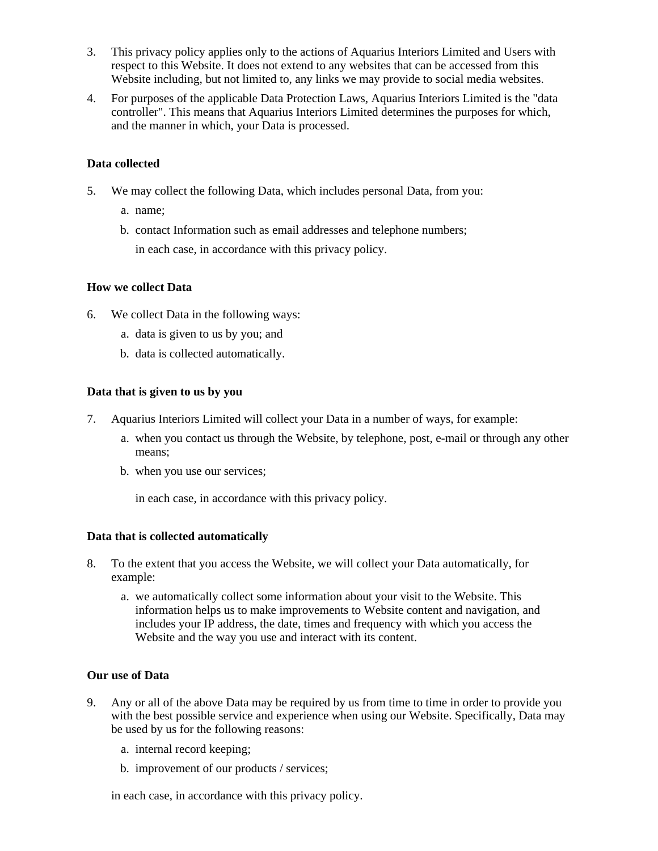- 3. This privacy policy applies only to the actions of Aquarius Interiors Limited and Users with respect to this Website. It does not extend to any websites that can be accessed from this Website including, but not limited to, any links we may provide to social media websites.
- 4. For purposes of the applicable Data Protection Laws, Aquarius Interiors Limited is the "data controller". This means that Aquarius Interiors Limited determines the purposes for which, and the manner in which, your Data is processed.

## **Data collected**

- 5. We may collect the following Data, which includes personal Data, from you:
	- a. name;
	- b. contact Information such as email addresses and telephone numbers; in each case, in accordance with this privacy policy.

# **How we collect Data**

- 6. We collect Data in the following ways:
	- a. data is given to us by you; and
	- b. data is collected automatically.

## **Data that is given to us by you**

- 7. Aquarius Interiors Limited will collect your Data in a number of ways, for example:
	- a. when you contact us through the Website, by telephone, post, e-mail or through any other means;
	- b. when you use our services;

in each case, in accordance with this privacy policy.

# **Data that is collected automatically**

- 8. To the extent that you access the Website, we will collect your Data automatically, for example:
	- a. we automatically collect some information about your visit to the Website. This information helps us to make improvements to Website content and navigation, and includes your IP address, the date, times and frequency with which you access the Website and the way you use and interact with its content.

## **Our use of Data**

- 9. Any or all of the above Data may be required by us from time to time in order to provide you with the best possible service and experience when using our Website. Specifically, Data may be used by us for the following reasons:
	- a. internal record keeping;
	- b. improvement of our products / services;

in each case, in accordance with this privacy policy.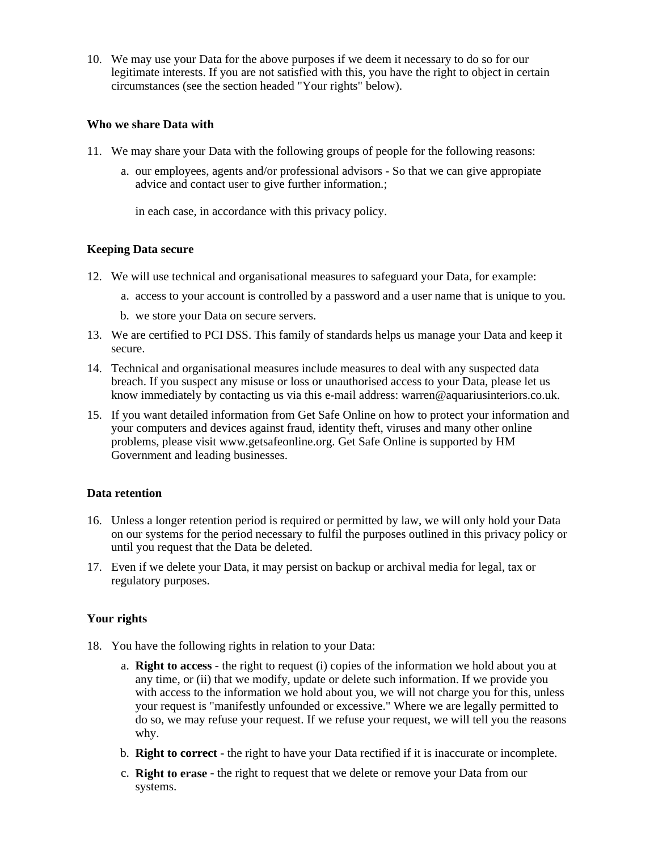10. We may use your Data for the above purposes if we deem it necessary to do so for our legitimate interests. If you are not satisfied with this, you have the right to object in certain circumstances (see the section headed "Your rights" below).

#### **Who we share Data with**

- 11. We may share your Data with the following groups of people for the following reasons:
	- a. our employees, agents and/or professional advisors So that we can give appropiate advice and contact user to give further information.;

in each case, in accordance with this privacy policy.

## **Keeping Data secure**

- 12. We will use technical and organisational measures to safeguard your Data, for example:
	- a. access to your account is controlled by a password and a user name that is unique to you.
	- b. we store your Data on secure servers.
- 13. We are certified to PCI DSS. This family of standards helps us manage your Data and keep it secure.
- 14. Technical and organisational measures include measures to deal with any suspected data breach. If you suspect any misuse or loss or unauthorised access to your Data, please let us know immediately by contacting us via this e-mail address: warren@aquariusinteriors.co.uk.
- 15. If you want detailed information from Get Safe Online on how to protect your information and your computers and devices against fraud, identity theft, viruses and many other online problems, please visit www.getsafeonline.org. Get Safe Online is supported by HM Government and leading businesses.

## **Data retention**

- 16. Unless a longer retention period is required or permitted by law, we will only hold your Data on our systems for the period necessary to fulfil the purposes outlined in this privacy policy or until you request that the Data be deleted.
- 17. Even if we delete your Data, it may persist on backup or archival media for legal, tax or regulatory purposes.

## **Your rights**

- 18. You have the following rights in relation to your Data:
	- a. **Right to access** the right to request (i) copies of the information we hold about you at any time, or (ii) that we modify, update or delete such information. If we provide you with access to the information we hold about you, we will not charge you for this, unless your request is "manifestly unfounded or excessive." Where we are legally permitted to do so, we may refuse your request. If we refuse your request, we will tell you the reasons why.
	- b. **Right to correct** the right to have your Data rectified if it is inaccurate or incomplete.
	- c. **Right to erase** the right to request that we delete or remove your Data from our systems.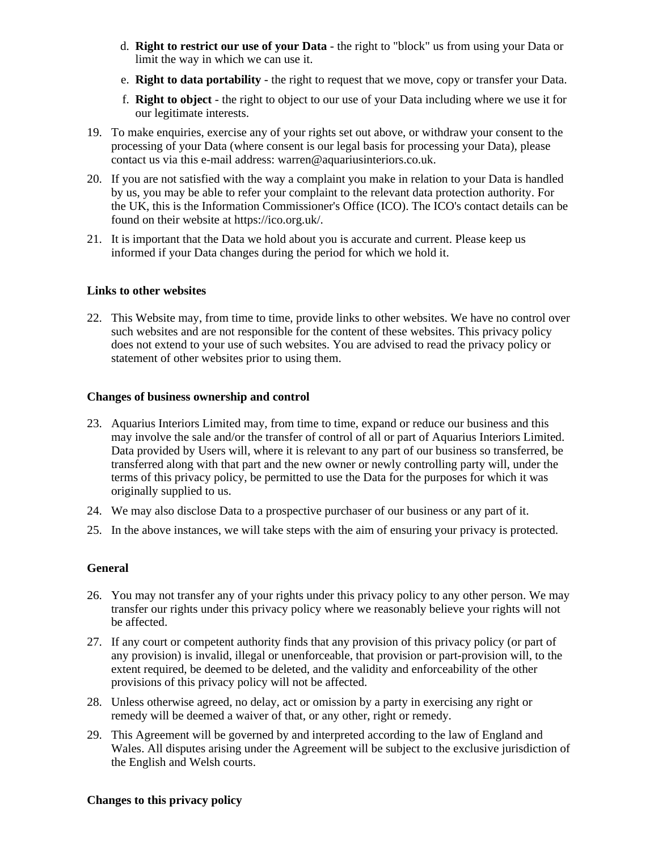- d. **Right to restrict our use of your Data** the right to "block" us from using your Data or limit the way in which we can use it.
- e. **Right to data portability** the right to request that we move, copy or transfer your Data.
- f. **Right to object** the right to object to our use of your Data including where we use it for our legitimate interests.
- 19. To make enquiries, exercise any of your rights set out above, or withdraw your consent to the processing of your Data (where consent is our legal basis for processing your Data), please contact us via this e-mail address: warren@aquariusinteriors.co.uk.
- 20. If you are not satisfied with the way a complaint you make in relation to your Data is handled by us, you may be able to refer your complaint to the relevant data protection authority. For the UK, this is the Information Commissioner's Office (ICO). The ICO's contact details can be found on their website at https://ico.org.uk/.
- 21. It is important that the Data we hold about you is accurate and current. Please keep us informed if your Data changes during the period for which we hold it.

#### **Links to other websites**

22. This Website may, from time to time, provide links to other websites. We have no control over such websites and are not responsible for the content of these websites. This privacy policy does not extend to your use of such websites. You are advised to read the privacy policy or statement of other websites prior to using them.

#### **Changes of business ownership and control**

- 23. Aquarius Interiors Limited may, from time to time, expand or reduce our business and this may involve the sale and/or the transfer of control of all or part of Aquarius Interiors Limited. Data provided by Users will, where it is relevant to any part of our business so transferred, be transferred along with that part and the new owner or newly controlling party will, under the terms of this privacy policy, be permitted to use the Data for the purposes for which it was originally supplied to us.
- 24. We may also disclose Data to a prospective purchaser of our business or any part of it.
- 25. In the above instances, we will take steps with the aim of ensuring your privacy is protected.

## **General**

- 26. You may not transfer any of your rights under this privacy policy to any other person. We may transfer our rights under this privacy policy where we reasonably believe your rights will not be affected.
- 27. If any court or competent authority finds that any provision of this privacy policy (or part of any provision) is invalid, illegal or unenforceable, that provision or part-provision will, to the extent required, be deemed to be deleted, and the validity and enforceability of the other provisions of this privacy policy will not be affected.
- 28. Unless otherwise agreed, no delay, act or omission by a party in exercising any right or remedy will be deemed a waiver of that, or any other, right or remedy.
- 29. This Agreement will be governed by and interpreted according to the law of England and Wales. All disputes arising under the Agreement will be subject to the exclusive jurisdiction of the English and Welsh courts.

#### **Changes to this privacy policy**